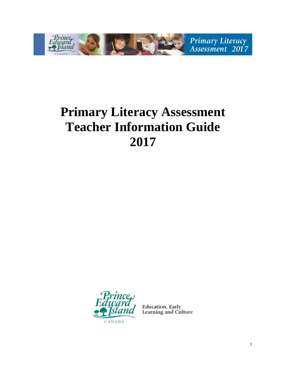

# **Primary Literacy Assessment Teacher Information Guide 2017**



**Education, Early<br>Learning and Culture**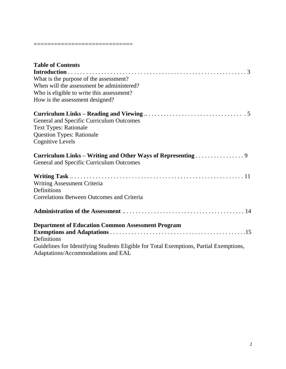#### =============================

| <b>Table of Contents</b>                                                                                                     |
|------------------------------------------------------------------------------------------------------------------------------|
|                                                                                                                              |
| What is the purpose of the assessment?                                                                                       |
| When will the assessment be administered?                                                                                    |
| Who is eligible to write this assessment?                                                                                    |
| How is the assessment designed?                                                                                              |
| General and Specific Curriculum Outcomes                                                                                     |
| <b>Text Types: Rationale</b>                                                                                                 |
| <b>Question Types: Rationale</b>                                                                                             |
| <b>Cognitive Levels</b>                                                                                                      |
| Curriculum Links – Writing and Other Ways of Representing 9                                                                  |
| General and Specific Curriculum Outcomes                                                                                     |
|                                                                                                                              |
| Writing Assessment Criteria                                                                                                  |
| Definitions                                                                                                                  |
| <b>Correlations Between Outcomes and Criteria</b>                                                                            |
|                                                                                                                              |
| <b>Department of Education Common Assessment Program</b>                                                                     |
| Definitions                                                                                                                  |
| Guidelines for Identifying Students Eligible for Total Exemptions, Partial Exemptions,<br>Adaptations/Accommodations and EAL |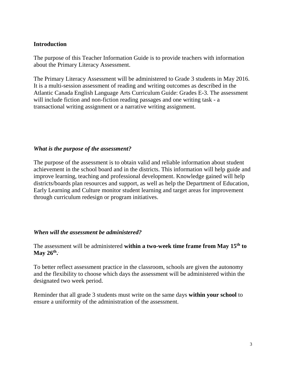## **Introduction**

The purpose of this Teacher Information Guide is to provide teachers with information about the Primary Literacy Assessment.

The Primary Literacy Assessment will be administered to Grade 3 students in May 2016. It is a multi-session assessment of reading and writing outcomes as described in the Atlantic Canada English Language Arts Curriculum Guide: Grades E-3. The assessment will include fiction and non-fiction reading passages and one writing task - a transactional writing assignment or a narrative writing assignment.

## *What is the purpose of the assessment?*

The purpose of the assessment is to obtain valid and reliable information about student achievement in the school board and in the districts. This information will help guide and improve learning, teaching and professional development. Knowledge gained will help districts/boards plan resources and support, as well as help the Department of Education, Early Learning and Culture monitor student learning and target areas for improvement through curriculum redesign or program initiatives.

#### *When will the assessment be administered?*

The assessment will be administered **within a two-week time frame from May 15th to May 26 th .** .

To better reflect assessment practice in the classroom, schools are given the autonomy and the flexibility to choose which days the assessment will be administered within the designated two week period.

Reminder that all grade 3 students must write on the same days **within your school** to ensure a uniformity of the administration of the assessment.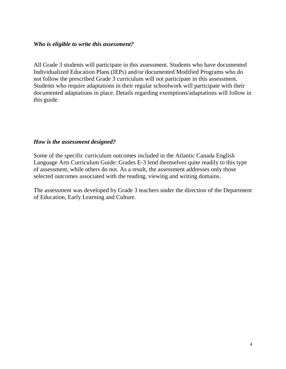#### *Who is eligible to write this assessment?*

All Grade 3 students will participate in this assessment. Students who have documented Individualized Education Plans (IEPs) and/or documented Modified Programs who do not follow the prescribed Grade 3 curriculum will not participate in this assessment. Students who require adaptations in their regular schoolwork will participate with their documented adaptations in place. Details regarding exemptions/adaptations will follow in this guide.

#### *How is the assessment designed?*

Some of the specific curriculum outcomes included in the Atlantic Canada English Language Arts Curriculum Guide: Grades E-3 lend themselves quite readily to this type of assessment, while others do not. As a result, the assessment addresses only those selected outcomes associated with the reading, viewing and writing domains.

The assessment was developed by Grade 3 teachers under the direction of the Department of Education, Early Learning and Culture.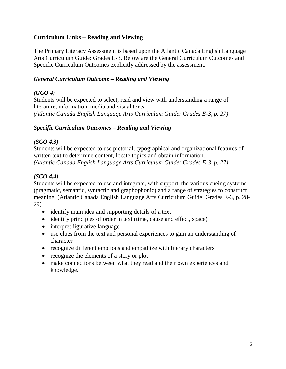## **Curriculum Links – Reading and Viewing**

The Primary Literacy Assessment is based upon the Atlantic Canada English Language Arts Curriculum Guide: Grades E-3. Below are the General Curriculum Outcomes and Specific Curriculum Outcomes explicitly addressed by the assessment.

#### *General Curriculum Outcome – Reading and Viewing*

## *(GCO 4)*

Students will be expected to select, read and view with understanding a range of literature, information, media and visual texts. *(Atlantic Canada English Language Arts Curriculum Guide: Grades E-3, p. 27)*

#### *Specific Curriculum Outcomes – Reading and Viewing*

## *(SCO 4.3)*

Students will be expected to use pictorial, typographical and organizational features of written text to determine content, locate topics and obtain information. *(Atlantic Canada English Language Arts Curriculum Guide: Grades E-3, p. 27)*

## *(SCO 4.4)*

Students will be expected to use and integrate, with support, the various cueing systems (pragmatic, semantic, syntactic and graphophonic) and a range of strategies to construct meaning. (Atlantic Canada English Language Arts Curriculum Guide: Grades E-3, p. 28- 29)

- identify main idea and supporting details of a text
- identify principles of order in text (time, cause and effect, space)
- interpret figurative language
- use clues from the text and personal experiences to gain an understanding of character
- recognize different emotions and empathize with literary characters
- recognize the elements of a story or plot
- make connections between what they read and their own experiences and knowledge.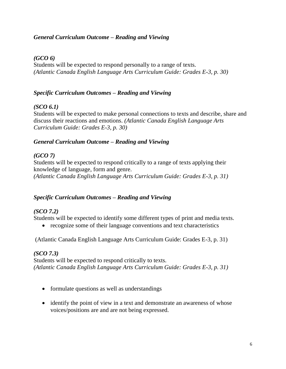## *General Curriculum Outcome – Reading and Viewing*

#### *(GCO 6)*

Students will be expected to respond personally to a range of texts. *(Atlantic Canada English Language Arts Curriculum Guide: Grades E-3, p. 30)*

## *Specific Curriculum Outcomes – Reading and Viewing*

## *(SCO 6.1)*

Students will be expected to make personal connections to texts and describe, share and discuss their reactions and emotions. *(Atlantic Canada English Language Arts Curriculum Guide: Grades E-3, p. 30)*

## *General Curriculum Outcome – Reading and Viewing*

## *(GCO 7)*

Students will be expected to respond critically to a range of texts applying their knowledge of language, form and genre. *(Atlantic Canada English Language Arts Curriculum Guide: Grades E-3, p. 31)*

#### *Specific Curriculum Outcomes – Reading and Viewing*

## *(SCO 7.2)*

Students will be expected to identify some different types of print and media texts.

recognize some of their language conventions and text characteristics

(Atlantic Canada English Language Arts Curriculum Guide: Grades E-3, p. 31)

## *(SCO 7.3)*

Students will be expected to respond critically to texts. *(Atlantic Canada English Language Arts Curriculum Guide: Grades E-3, p. 31)*

- formulate questions as well as understandings
- identify the point of view in a text and demonstrate an awareness of whose voices/positions are and are not being expressed.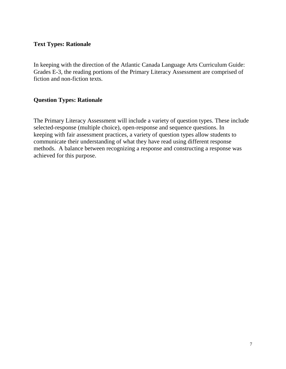## **Text Types: Rationale**

In keeping with the direction of the Atlantic Canada Language Arts Curriculum Guide: Grades E-3, the reading portions of the Primary Literacy Assessment are comprised of fiction and non-fiction texts.

#### **Question Types: Rationale**

The Primary Literacy Assessment will include a variety of question types. These include selected-response (multiple choice), open-response and sequence questions. In keeping with fair assessment practices, a variety of question types allow students to communicate their understanding of what they have read using different response methods. A balance between recognizing a response and constructing a response was achieved for this purpose.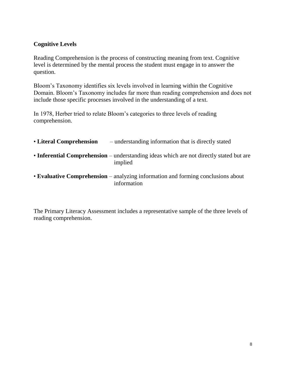## **Cognitive Levels**

Reading Comprehension is the process of constructing meaning from text. Cognitive level is determined by the mental process the student must engage in to answer the question.

Bloom's Taxonomy identifies six levels involved in learning within the Cognitive Domain. Bloom's Taxonomy includes far more than reading comprehension and does not include those specific processes involved in the understanding of a text.

In 1978, Herber tried to relate Bloom's categories to three levels of reading comprehension.

| <b>• Literal Comprehension</b> | - understanding information that is directly stated |
|--------------------------------|-----------------------------------------------------|
|                                |                                                     |

- **Inferential Comprehension** understanding ideas which are not directly stated but are implied
- **Evaluative Comprehension**  analyzing information and forming conclusions about information

The Primary Literacy Assessment includes a representative sample of the three levels of reading comprehension.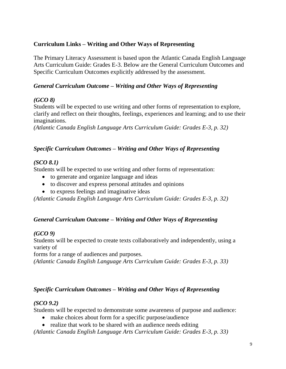## **Curriculum Links – Writing and Other Ways of Representing**

The Primary Literacy Assessment is based upon the Atlantic Canada English Language Arts Curriculum Guide: Grades E-3. Below are the General Curriculum Outcomes and Specific Curriculum Outcomes explicitly addressed by the assessment.

## *General Curriculum Outcome – Writing and Other Ways of Representing*

## *(GCO 8)*

Students will be expected to use writing and other forms of representation to explore, clarify and reflect on their thoughts, feelings, experiences and learning; and to use their imaginations.

*(Atlantic Canada English Language Arts Curriculum Guide: Grades E-3, p. 32)*

## *Specific Curriculum Outcomes – Writing and Other Ways of Representing*

## *(SCO 8.1)*

Students will be expected to use writing and other forms of representation:

- to generate and organize language and ideas
- to discover and express personal attitudes and opinions
- to express feelings and imaginative ideas

*(Atlantic Canada English Language Arts Curriculum Guide: Grades E-3, p. 32)*

#### *General Curriculum Outcome – Writing and Other Ways of Representing*

## *(GCO 9)*

Students will be expected to create texts collaboratively and independently, using a variety of

forms for a range of audiences and purposes.

*(Atlantic Canada English Language Arts Curriculum Guide: Grades E-3, p. 33)*

## *Specific Curriculum Outcomes – Writing and Other Ways of Representing*

## *(SCO 9.2)*

Students will be expected to demonstrate some awareness of purpose and audience:

- make choices about form for a specific purpose/audience
- realize that work to be shared with an audience needs editing

*(Atlantic Canada English Language Arts Curriculum Guide: Grades E-3, p. 33)*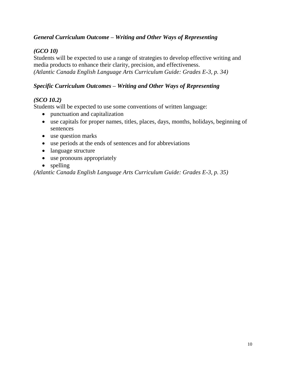## *General Curriculum Outcome – Writing and Other Ways of Representing*

## *(GCO 10)*

Students will be expected to use a range of strategies to develop effective writing and media products to enhance their clarity, precision, and effectiveness. *(Atlantic Canada English Language Arts Curriculum Guide: Grades E-3, p. 34)*

#### *Specific Curriculum Outcomes – Writing and Other Ways of Representing*

## *(SCO 10.2)*

Students will be expected to use some conventions of written language:

- punctuation and capitalization
- use capitals for proper names, titles, places, days, months, holidays, beginning of sentences
- use question marks
- use periods at the ends of sentences and for abbreviations
- language structure
- use pronouns appropriately
- spelling

*(Atlantic Canada English Language Arts Curriculum Guide: Grades E-3, p. 35)*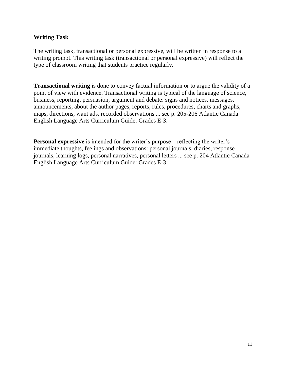#### **Writing Task**

The writing task, transactional or personal expressive, will be written in response to a writing prompt. This writing task (transactional or personal expressive) will reflect the type of classroom writing that students practice regularly.

**Transactional writing** is done to convey factual information or to argue the validity of a point of view with evidence. Transactional writing is typical of the language of science, business, reporting, persuasion, argument and debate: signs and notices, messages, announcements, about the author pages, reports, rules, procedures, charts and graphs, maps, directions, want ads, recorded observations ... see p. 205-206 Atlantic Canada English Language Arts Curriculum Guide: Grades E-3.

**Personal expressive** is intended for the writer's purpose – reflecting the writer's immediate thoughts, feelings and observations: personal journals, diaries, response journals, learning logs, personal narratives, personal letters ... see p. 204 Atlantic Canada English Language Arts Curriculum Guide: Grades E-3.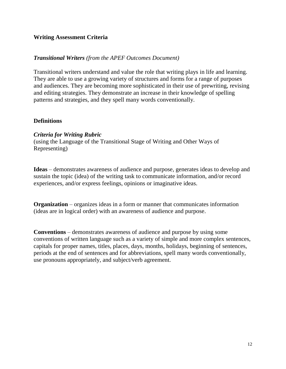#### **Writing Assessment Criteria**

#### *Transitional Writers (from the APEF Outcomes Document)*

Transitional writers understand and value the role that writing plays in life and learning. They are able to use a growing variety of structures and forms for a range of purposes and audiences. They are becoming more sophisticated in their use of prewriting, revising and editing strategies. They demonstrate an increase in their knowledge of spelling patterns and strategies, and they spell many words conventionally.

#### **Definitions**

#### *Criteria for Writing Rubric*

(using the Language of the Transitional Stage of Writing and Other Ways of Representing)

**Ideas** – demonstrates awareness of audience and purpose, generates ideas to develop and sustain the topic (idea) of the writing task to communicate information, and/or record experiences, and/or express feelings, opinions or imaginative ideas.

**Organization** – organizes ideas in a form or manner that communicates information (ideas are in logical order) with an awareness of audience and purpose.

**Conventions** – demonstrates awareness of audience and purpose by using some conventions of written language such as a variety of simple and more complex sentences, capitals for proper names, titles, places, days, months, holidays, beginning of sentences, periods at the end of sentences and for abbreviations, spell many words conventionally, use pronouns appropriately, and subject/verb agreement.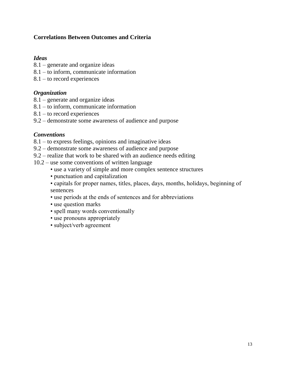## **Correlations Between Outcomes and Criteria**

#### *Ideas*

- 8.1 generate and organize ideas
- 8.1 to inform, communicate information
- 8.1 to record experiences

#### *Organization*

- 8.1 generate and organize ideas
- 8.1 to inform, communicate information
- 8.1 to record experiences
- 9.2 demonstrate some awareness of audience and purpose

#### *Conventions*

- 8.1 to express feelings, opinions and imaginative ideas
- 9.2 demonstrate some awareness of audience and purpose
- 9.2 realize that work to be shared with an audience needs editing
- 10.2 use some conventions of written language
	- use a variety of simple and more complex sentence structures
	- punctuation and capitalization
	- capitals for proper names, titles, places, days, months, holidays, beginning of sentences
	- use periods at the ends of sentences and for abbreviations
	- use question marks
	- spell many words conventionally
	- use pronouns appropriately
	- subject/verb agreement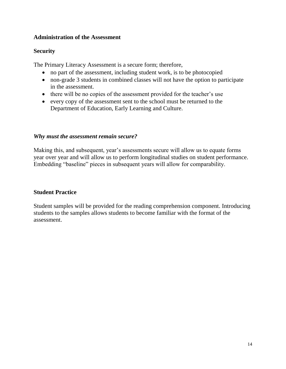## **Administration of the Assessment**

## **Security**

The Primary Literacy Assessment is a secure form; therefore,

- no part of the assessment, including student work, is to be photocopied
- non-grade 3 students in combined classes will not have the option to participate in the assessment.
- there will be no copies of the assessment provided for the teacher's use
- every copy of the assessment sent to the school must be returned to the Department of Education, Early Learning and Culture.

## *Why must the assessment remain secure?*

Making this, and subsequent, year's assessments secure will allow us to equate forms year over year and will allow us to perform longitudinal studies on student performance. Embedding "baseline" pieces in subsequent years will allow for comparability.

## **Student Practice**

Student samples will be provided for the reading comprehension component. Introducing students to the samples allows students to become familiar with the format of the assessment.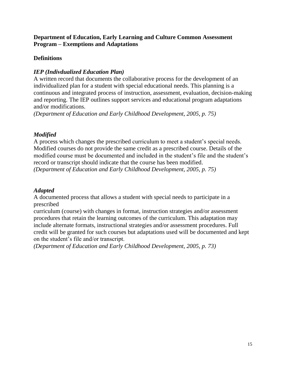## **Department of Education, Early Learning and Culture Common Assessment Program – Exemptions and Adaptations**

## **Definitions**

## *IEP (Indivdualized Education Plan)*

A written record that documents the collaborative process for the development of an individualized plan for a student with special educational needs. This planning is a continuous and integrated process of instruction, assessment, evaluation, decision-making and reporting. The IEP outlines support services and educational program adaptations and/or modifications.

*(Department of Education and Early Childhood Development, 2005, p. 75)*

## *Modified*

A process which changes the prescribed curriculum to meet a student's special needs. Modified courses do not provide the same credit as a prescribed course. Details of the modified course must be documented and included in the student's file and the student's record or transcript should indicate that the course has been modified. *(Department of Education and Early Childhood Development, 2005, p. 75)*

#### *Adapted*

A documented process that allows a student with special needs to participate in a prescribed

curriculum (course) with changes in format, instruction strategies and/or assessment procedures that retain the learning outcomes of the curriculum. This adaptation may include alternate formats, instructional strategies and/or assessment procedures. Full credit will be granted for such courses but adaptations used will be documented and kept on the student's file and/or transcript.

*(Department of Education and Early Childhood Development, 2005, p. 73)*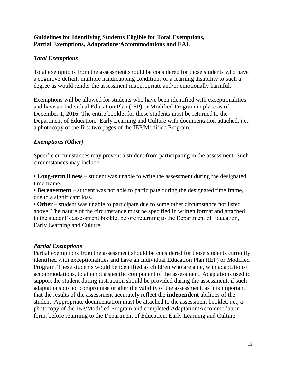## **Guidelines for Identifying Students Eligible for Total Exemptions, Partial Exemptions, Adaptations/Accommodations and EAL**

## *Total Exemptions*

Total exemptions from the assessment should be considered for those students who have a cognitive deficit, multiple handicapping conditions or a learning disability to such a degree as would render the assessment inappropriate and/or emotionally harmful.

Exemptions will be allowed for students who have been identified with exceptionalities and have an Individual Education Plan (IEP) or Modified Program in place as of December 1, 2016. The entire booklet for those students must be returned to the Department of Education, Early Learning and Culture with documentation attached, i.e., a photocopy of the first two pages of the IEP/Modified Program.

## *Exemptions (Other)*

Specific circumstances may prevent a student from participating in the assessment. Such circumstances may include:

• **Long-term illness** – student was unable to write the assessment during the designated time frame.

• **Bereavement** – student was not able to participate during the designated time frame, due to a significant loss.

• **Other** – student was unable to participate due to some other circumstance not listed above. The nature of the circumstance must be specified in written format and attached to the student's assessment booklet before returning to the Department of Education, Early Learning and Culture.

## *Partial Exemptions*

Partial exemptions from the assessment should be considered for those students currently identified with exceptionalities and have an Individual Education Plan (IEP) or Modified Program. These students would be identified as children who are able, with adaptations/ accommodations, to attempt a specific component of the assessment. Adaptations used to support the student during instruction should be provided during the assessment, if such adaptations do not compromise or alter the validity of the assessment, as it is important that the results of the assessment accurately reflect the **independent** abilities of the student. Appropriate documentation must be attached to the assessment booklet, i.e., a photocopy of the IEP/Modified Program and completed Adaptation/Accommodation form, before returning to the Department of Education, Early Learning and Culture.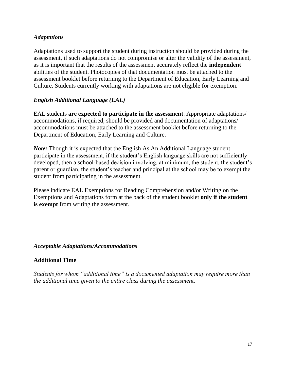#### *Adaptations*

Adaptations used to support the student during instruction should be provided during the assessment, if such adaptations do not compromise or alter the validity of the assessment, as it is important that the results of the assessment accurately reflect the **independent** abilities of the student. Photocopies of that documentation must be attached to the assessment booklet before returning to the Department of Education, Early Learning and Culture. Students currently working with adaptations are not eligible for exemption.

#### *English Additional Language (EAL)*

EAL students **are expected to participate in the assessment**. Appropriate adaptations/ accommodations, if required, should be provided and documentation of adaptations/ accommodations must be attached to the assessment booklet before returning to the Department of Education, Early Learning and Culture.

*Note*: Though it is expected that the English As An Additional Language student participate in the assessment, if the student's English language skills are not sufficiently developed, then a school-based decision involving, at minimum, the student, the student's parent or guardian, the student's teacher and principal at the school may be to exempt the student from participating in the assessment.

Please indicate EAL Exemptions for Reading Comprehension and/or Writing on the Exemptions and Adaptations form at the back of the student booklet **only if the student is exempt** from writing the assessment.

#### *Acceptable Adaptations/Accommodations*

#### **Additional Time**

*Students for whom "additional time" is a documented adaptation may require more than the additional time given to the entire class during the assessment.*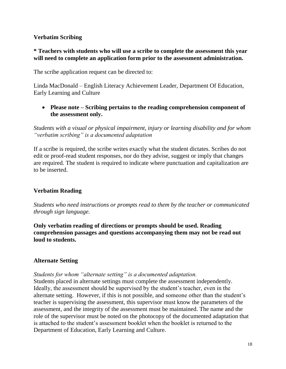## **Verbatim Scribing**

## **\* Teachers with students who will use a scribe to complete the assessment this year will need to complete an application form prior to the assessment administration.**

The scribe application request can be directed to:

Linda MacDonald – English Literacy Achievement Leader, Department Of Education, Early Learning and Culture

 **Please note – Scribing pertains to the reading comprehension component of the assessment only.** 

*Students with a visual or physical impairment, injury or learning disability and for whom "verbatim scribing" is a documented adaptation*

If a scribe is required, the scribe writes exactly what the student dictates. Scribes do not edit or proof-read student responses, nor do they advise, suggest or imply that changes are required. The student is required to indicate where punctuation and capitalization are to be inserted.

## **Verbatim Reading**

*Students who need instructions or prompts read to them by the teacher or communicated through sign language.*

**Only verbatim reading of directions or prompts should be used. Reading comprehension passages and questions accompanying them may not be read out loud to students.**

#### **Alternate Setting**

*Students for whom "alternate setting" is a documented adaptation.*

Students placed in alternate settings must complete the assessment independently. Ideally, the assessment should be supervised by the student's teacher, even in the alternate setting. However, if this is not possible, and someone other than the student's teacher is supervising the assessment, this supervisor must know the parameters of the assessment, and the integrity of the assessment must be maintained. The name and the role of the supervisor must be noted on the photocopy of the documented adaptation that is attached to the student's assessment booklet when the booklet is returned to the Department of Education, Early Learning and Culture.